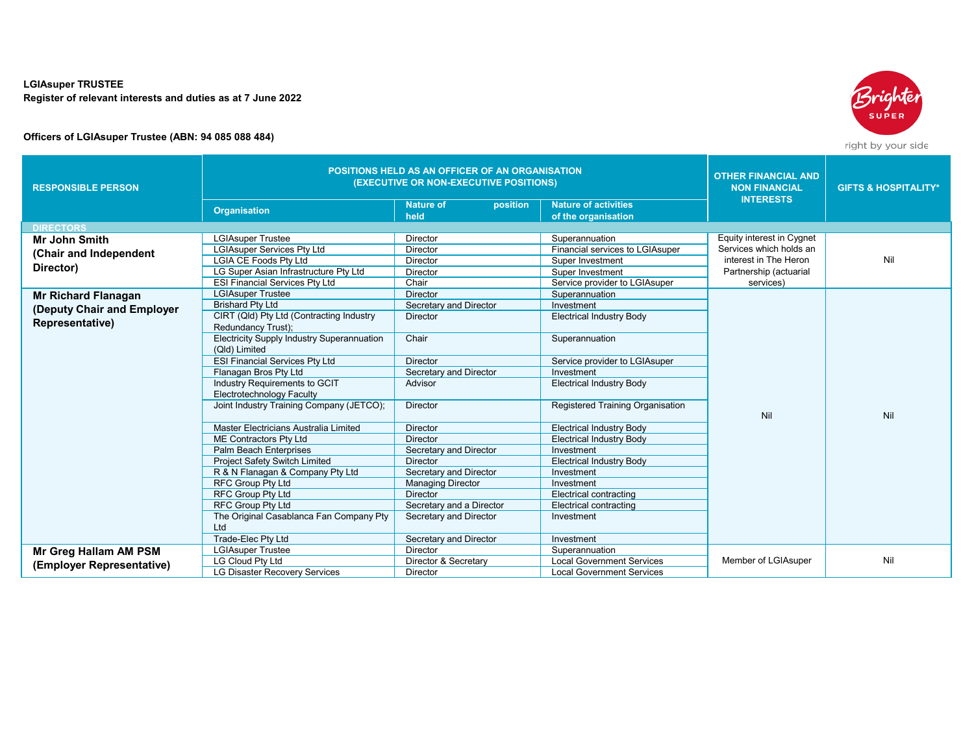## **LGIAsuper TRUSTEE Register of relevant interests and duties as at 7 June 2022**

## **Officers of LGIAsuper Trustee (ABN: 94 085 088 484)**

| Srighten     |
|--------------|
| <b>SUPER</b> |
|              |
|              |

right by your side

| <b>RESPONSIBLE PERSON</b>  | <b>POSITIONS HELD AS AN OFFICER OF AN ORGANISATION</b><br>(EXECUTIVE OR NON-EXECUTIVE POSITIONS) |                              |                                  | <b>OTHER FINANCIAL AND</b><br><b>NON FINANCIAL</b> | <b>GIFTS &amp; HOSPITALITY*</b> |
|----------------------------|--------------------------------------------------------------------------------------------------|------------------------------|----------------------------------|----------------------------------------------------|---------------------------------|
|                            | <b>Organisation</b>                                                                              | <b>Nature of</b><br>position | <b>Nature of activities</b>      | <b>INTERESTS</b>                                   |                                 |
|                            |                                                                                                  | held                         | of the organisation              |                                                    |                                 |
| <b>DIRECTORS</b>           |                                                                                                  |                              |                                  |                                                    |                                 |
| <b>Mr John Smith</b>       | <b>LGIAsuper Trustee</b>                                                                         | <b>Director</b>              | Superannuation                   | <b>Equity interest in Cygnet</b>                   |                                 |
| (Chair and Independent     | <b>LGIAsuper Services Ptv Ltd</b>                                                                | <b>Director</b>              | Financial services to LGIAsuper  | Services which holds an                            |                                 |
|                            | <b>LGIA CE Foods Ptv Ltd</b>                                                                     | <b>Director</b>              | Super Investment                 | interest in The Heron                              | Nil                             |
| Director)                  | LG Super Asian Infrastructure Pty Ltd                                                            | Director                     | Super Investment                 | Partnership (actuarial                             |                                 |
|                            | <b>ESI Financial Services Pty Ltd</b>                                                            | Chair                        | Service provider to LGIAsuper    | services)                                          |                                 |
| <b>Mr Richard Flanagan</b> | <b>LGIAsuper Trustee</b>                                                                         | <b>Director</b>              | Superannuation                   |                                                    |                                 |
| (Deputy Chair and Employer | <b>Brishard Pty Ltd</b>                                                                          | Secretary and Director       | Investment                       |                                                    |                                 |
| Representative)            | CIRT (Qld) Pty Ltd (Contracting Industry<br>Redundancy Trust);                                   | Director                     | <b>Electrical Industry Body</b>  |                                                    |                                 |
|                            | <b>Electricity Supply Industry Superannuation</b><br>(Qld) Limited                               | Chair                        | Superannuation                   |                                                    |                                 |
|                            | <b>ESI Financial Services Ptv Ltd</b>                                                            | <b>Director</b>              | Service provider to LGIAsuper    |                                                    |                                 |
|                            | Flanagan Bros Pty Ltd                                                                            | Secretary and Director       | Investment                       |                                                    |                                 |
|                            | Industry Requirements to GCIT<br>Electrotechnology Faculty                                       | Advisor                      | <b>Electrical Industry Body</b>  |                                                    |                                 |
|                            | Joint Industry Training Company (JETCO);                                                         | <b>Director</b>              | Registered Training Organisation | Nil                                                | Nil                             |
|                            | Master Electricians Australia Limited                                                            | <b>Director</b>              | <b>Electrical Industry Body</b>  |                                                    |                                 |
|                            | ME Contractors Pty Ltd                                                                           | <b>Director</b>              | <b>Electrical Industry Body</b>  |                                                    |                                 |
|                            | Palm Beach Enterprises                                                                           | Secretary and Director       | Investment                       |                                                    |                                 |
|                            | <b>Project Safety Switch Limited</b>                                                             | <b>Director</b>              | <b>Electrical Industry Body</b>  |                                                    |                                 |
|                            | R & N Flanagan & Company Pty Ltd                                                                 | Secretary and Director       | Investment                       |                                                    |                                 |
|                            | <b>RFC Group Pty Ltd</b>                                                                         | <b>Managing Director</b>     | Investment                       |                                                    |                                 |
|                            | <b>RFC Group Pty Ltd</b>                                                                         | <b>Director</b>              | Electrical contracting           |                                                    |                                 |
|                            | <b>RFC Group Pty Ltd</b>                                                                         | Secretary and a Director     | Electrical contracting           |                                                    |                                 |
|                            | The Original Casablanca Fan Company Pty<br>Ltd                                                   | Secretary and Director       | Investment                       |                                                    |                                 |
|                            | Trade-Elec Pty Ltd                                                                               | Secretary and Director       | Investment                       |                                                    |                                 |
| Mr Greg Hallam AM PSM      | <b>LGIAsuper Trustee</b>                                                                         | Director                     | Superannuation                   |                                                    |                                 |
|                            | <b>LG Cloud Pty Ltd</b>                                                                          | Director & Secretary         | <b>Local Government Services</b> | Member of LGIAsuper                                | Nil                             |
| (Employer Representative)  | <b>LG Disaster Recovery Services</b>                                                             | <b>Director</b>              | <b>Local Government Services</b> |                                                    |                                 |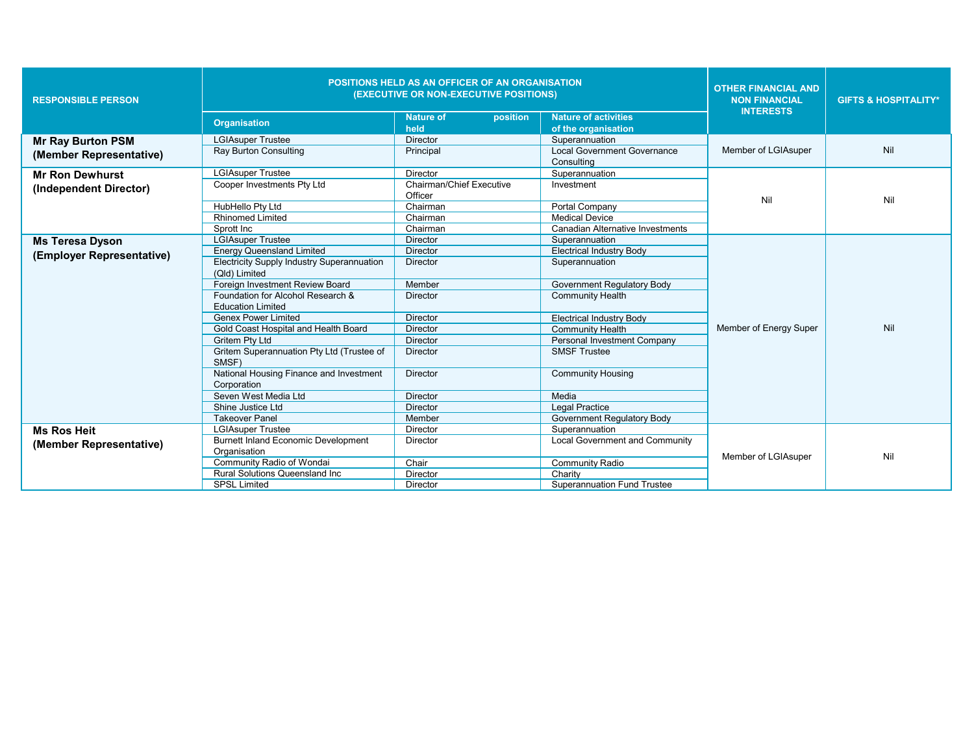| <b>RESPONSIBLE PERSON</b> | <b>POSITIONS HELD AS AN OFFICER OF AN ORGANISATION</b><br>(EXECUTIVE OR NON-EXECUTIVE POSITIONS) |                                            |                                                    | <b>OTHER FINANCIAL AND</b><br><b>NON FINANCIAL</b> | <b>GIFTS &amp; HOSPITALITY*</b> |
|---------------------------|--------------------------------------------------------------------------------------------------|--------------------------------------------|----------------------------------------------------|----------------------------------------------------|---------------------------------|
|                           | <b>Organisation</b>                                                                              | position<br><b>Nature of</b><br>held       | <b>Nature of activities</b><br>of the organisation | <b>INTERESTS</b>                                   |                                 |
| <b>Mr Ray Burton PSM</b>  | <b>LGIAsuper Trustee</b>                                                                         | <b>Director</b>                            | Superannuation                                     |                                                    |                                 |
| (Member Representative)   | <b>Ray Burton Consulting</b>                                                                     | Principal                                  | Local Government Governance                        | Member of LGIAsuper                                | Nil                             |
|                           |                                                                                                  |                                            | Consulting                                         |                                                    |                                 |
| <b>Mr Ron Dewhurst</b>    | <b>LGIAsuper Trustee</b>                                                                         | Director                                   | Superannuation                                     |                                                    |                                 |
| (Independent Director)    | Cooper Investments Pty Ltd                                                                       | <b>Chairman/Chief Executive</b><br>Officer | Investment                                         | Nil                                                | Nil                             |
|                           | HubHello Pty Ltd                                                                                 | Chairman                                   | Portal Company                                     |                                                    |                                 |
|                           | <b>Rhinomed Limited</b>                                                                          | Chairman                                   | <b>Medical Device</b>                              |                                                    |                                 |
|                           | Sprott Inc                                                                                       | Chairman                                   | Canadian Alternative Investments                   |                                                    |                                 |
| <b>Ms Teresa Dyson</b>    | <b>LGIAsuper Trustee</b>                                                                         | <b>Director</b>                            | Superannuation                                     |                                                    |                                 |
| (Employer Representative) | <b>Energy Queensland Limited</b>                                                                 | <b>Director</b>                            | <b>Electrical Industry Body</b>                    |                                                    |                                 |
|                           | <b>Electricity Supply Industry Superannuation</b><br>(Qld) Limited                               | <b>Director</b>                            | Superannuation                                     |                                                    |                                 |
|                           | Foreign Investment Review Board                                                                  | Member                                     | <b>Government Requlatory Body</b>                  |                                                    |                                 |
|                           | Foundation for Alcohol Research &                                                                | Director                                   | <b>Community Health</b>                            |                                                    |                                 |
|                           | <b>Education Limited</b>                                                                         |                                            |                                                    |                                                    |                                 |
|                           | <b>Genex Power Limited</b>                                                                       | <b>Director</b>                            | <b>Electrical Industry Body</b>                    |                                                    |                                 |
|                           | Gold Coast Hospital and Health Board                                                             | <b>Director</b>                            | <b>Community Health</b>                            | Member of Energy Super                             | Nil                             |
|                           | <b>Gritem Ptv Ltd</b>                                                                            | <b>Director</b>                            | Personal Investment Company                        |                                                    |                                 |
|                           | Gritem Superannuation Pty Ltd (Trustee of<br>SMSF)                                               | <b>Director</b>                            | <b>SMSF Trustee</b>                                |                                                    |                                 |
|                           | National Housing Finance and Investment<br>Corporation                                           | <b>Director</b>                            | <b>Community Housing</b>                           |                                                    |                                 |
|                           | Seven West Media Ltd                                                                             | <b>Director</b>                            | Media                                              |                                                    |                                 |
|                           | Shine Justice Ltd                                                                                | <b>Director</b>                            | <b>Legal Practice</b>                              |                                                    |                                 |
|                           | <b>Takeover Panel</b>                                                                            | Member                                     | <b>Government Regulatory Body</b>                  |                                                    |                                 |
| <b>Ms Ros Heit</b>        | <b>LGIAsuper Trustee</b>                                                                         | <b>Director</b>                            | Superannuation                                     |                                                    |                                 |
| (Member Representative)   | <b>Burnett Inland Economic Development</b>                                                       | Director                                   | <b>Local Government and Community</b>              |                                                    |                                 |
|                           | Organisation                                                                                     |                                            |                                                    | Member of LGIAsuper                                | Nil                             |
|                           | Community Radio of Wondai                                                                        | Chair                                      | <b>Community Radio</b>                             |                                                    |                                 |
|                           | <b>Rural Solutions Queensland Inc.</b>                                                           | Director                                   | Charity                                            |                                                    |                                 |
|                           | <b>SPSL Limited</b>                                                                              | Director                                   | <b>Superannuation Fund Trustee</b>                 |                                                    |                                 |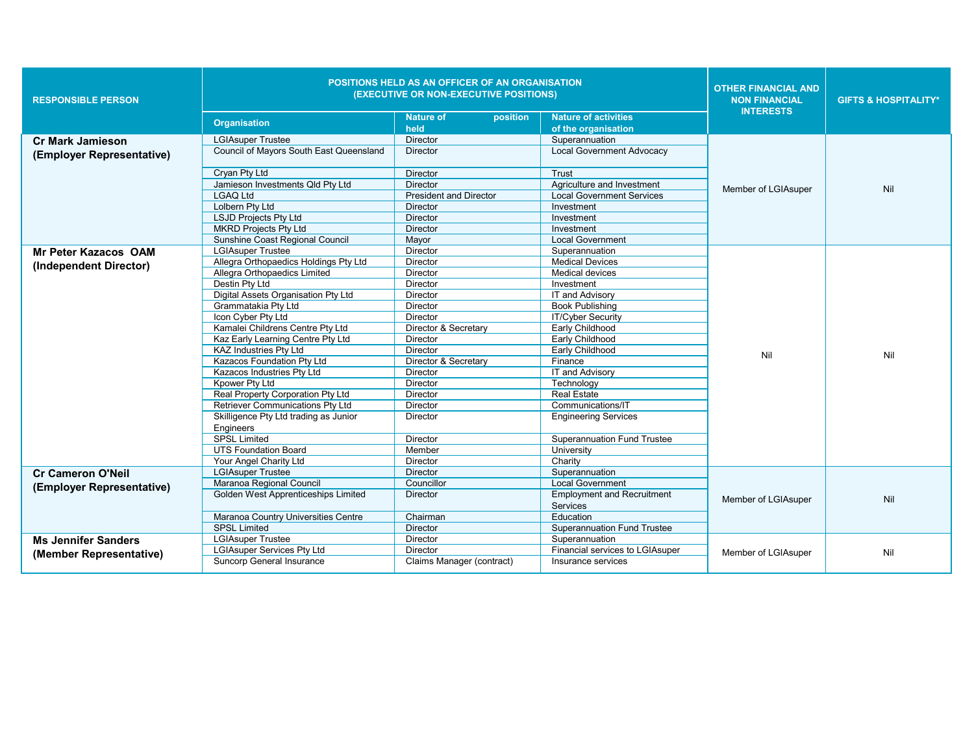| <b>RESPONSIBLE PERSON</b>                            | <b>Organisation</b>                                | POSITIONS HELD AS AN OFFICER OF AN ORGANISATION<br>(EXECUTIVE OR NON-EXECUTIVE POSITIONS)<br>position<br><b>Nature of</b><br>held | <b>Nature of activities</b>                   | <b>OTHER FINANCIAL AND</b><br><b>NON FINANCIAL</b><br><b>INTERESTS</b> | <b>GIFTS &amp; HOSPITALITY*</b> |
|------------------------------------------------------|----------------------------------------------------|-----------------------------------------------------------------------------------------------------------------------------------|-----------------------------------------------|------------------------------------------------------------------------|---------------------------------|
|                                                      | <b>LGIAsuper Trustee</b>                           | <b>Director</b>                                                                                                                   | of the organisation<br>Superannuation         |                                                                        |                                 |
| <b>Cr Mark Jamieson</b><br>(Employer Representative) | <b>Council of Mayors South East Queensland</b>     | <b>Director</b>                                                                                                                   | <b>Local Government Advocacy</b>              |                                                                        |                                 |
|                                                      | Cryan Pty Ltd                                      | <b>Director</b>                                                                                                                   | Trust                                         |                                                                        |                                 |
|                                                      | Jamieson Investments Qld Pty Ltd                   | <b>Director</b>                                                                                                                   | Agriculture and Investment                    |                                                                        |                                 |
|                                                      | <b>LGAO Ltd</b>                                    | <b>President and Director</b>                                                                                                     | Local Government Services                     | Member of LGIAsuper                                                    | Nil                             |
|                                                      | Lolbern Pty Ltd                                    | <b>Director</b>                                                                                                                   | Investment                                    |                                                                        |                                 |
|                                                      | <b>LSJD Projects Pty Ltd</b>                       | Director                                                                                                                          | Investment                                    |                                                                        |                                 |
|                                                      | <b>MKRD Projects Pty Ltd</b>                       | <b>Director</b>                                                                                                                   | Investment                                    |                                                                        |                                 |
|                                                      | Sunshine Coast Regional Council                    | Mayor                                                                                                                             | <b>Local Government</b>                       |                                                                        |                                 |
| <b>Mr Peter Kazacos OAM</b>                          | <b>LGIAsuper Trustee</b>                           | Director                                                                                                                          | Superannuation                                |                                                                        |                                 |
| (Independent Director)                               | Allegra Orthopaedics Holdings Pty Ltd              | Director                                                                                                                          | <b>Medical Devices</b>                        |                                                                        |                                 |
|                                                      | Allegra Orthopaedics Limited                       | Director                                                                                                                          | <b>Medical devices</b>                        |                                                                        |                                 |
|                                                      | Destin Pty Ltd                                     | Director                                                                                                                          | Investment                                    |                                                                        |                                 |
|                                                      | Digital Assets Organisation Pty Ltd                | <b>Director</b>                                                                                                                   | IT and Advisory                               |                                                                        |                                 |
|                                                      | Grammatakia Pty Ltd                                | Director                                                                                                                          | <b>Book Publishing</b>                        |                                                                        |                                 |
|                                                      | Icon Cyber Pty Ltd                                 | <b>Director</b>                                                                                                                   | <b>IT/Cyber Security</b>                      |                                                                        |                                 |
|                                                      | Kamalei Childrens Centre Pty Ltd                   | Director & Secretary                                                                                                              | Early Childhood                               |                                                                        |                                 |
|                                                      | Kaz Early Learning Centre Pty Ltd                  | <b>Director</b>                                                                                                                   | Early Childhood                               |                                                                        |                                 |
|                                                      | <b>KAZ Industries Pty Ltd</b>                      | <b>Director</b>                                                                                                                   | Early Childhood                               | Nil                                                                    | Nil                             |
|                                                      | Kazacos Foundation Pty Ltd                         | Director & Secretary                                                                                                              | Finance                                       |                                                                        |                                 |
|                                                      | Kazacos Industries Pty Ltd                         | <b>Director</b>                                                                                                                   | IT and Advisory                               |                                                                        |                                 |
|                                                      | Kpower Pty Ltd                                     | <b>Director</b>                                                                                                                   | Technology                                    |                                                                        |                                 |
|                                                      | Real Property Corporation Pty Ltd                  | <b>Director</b>                                                                                                                   | <b>Real Estate</b>                            |                                                                        |                                 |
|                                                      | Retriever Communications Pty Ltd                   | <b>Director</b>                                                                                                                   | Communications/IT                             |                                                                        |                                 |
|                                                      | Skilligence Pty Ltd trading as Junior<br>Engineers | <b>Director</b>                                                                                                                   | <b>Engineering Services</b>                   |                                                                        |                                 |
|                                                      | <b>SPSL Limited</b>                                | <b>Director</b>                                                                                                                   | <b>Superannuation Fund Trustee</b>            |                                                                        |                                 |
|                                                      | <b>UTS Foundation Board</b>                        | Member                                                                                                                            | University                                    |                                                                        |                                 |
|                                                      | Your Angel Charity Ltd                             | <b>Director</b>                                                                                                                   | Charity                                       |                                                                        |                                 |
| <b>Cr Cameron O'Neil</b>                             | <b>LGIAsuper Trustee</b>                           | Director                                                                                                                          | Superannuation                                |                                                                        |                                 |
| (Employer Representative)                            | Maranoa Regional Council                           | Councillor                                                                                                                        | <b>Local Government</b>                       |                                                                        |                                 |
|                                                      | Golden West Apprenticeships Limited                | <b>Director</b>                                                                                                                   | <b>Employment and Recruitment</b><br>Services | Member of LGIAsuper                                                    | Nil                             |
|                                                      | Maranoa Country Universities Centre                | Chairman                                                                                                                          | Education                                     |                                                                        |                                 |
|                                                      | <b>SPSL Limited</b>                                | <b>Director</b>                                                                                                                   | <b>Superannuation Fund Trustee</b>            |                                                                        |                                 |
| <b>Ms Jennifer Sanders</b>                           | <b>LGIAsuper Trustee</b>                           | Director                                                                                                                          | Superannuation                                |                                                                        |                                 |
| (Member Representative)                              | <b>LGIAsuper Services Pty Ltd</b>                  | <b>Director</b>                                                                                                                   | Financial services to LGIAsuper               | Member of LGIAsuper                                                    | Nil                             |
|                                                      | Suncorp General Insurance                          | Claims Manager (contract)                                                                                                         | Insurance services                            |                                                                        |                                 |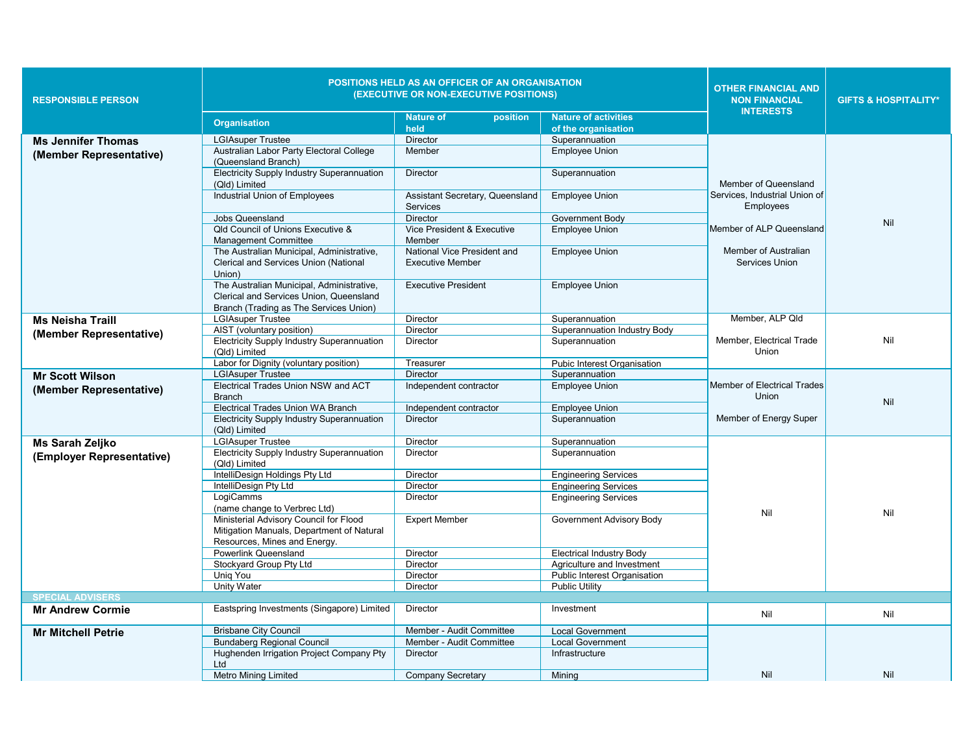| <b>RESPONSIBLE PERSON</b> | POSITIONS HELD AS AN OFFICER OF AN ORGANISATION<br>(EXECUTIVE OR NON-EXECUTIVE POSITIONS)<br><b>Nature of activities</b><br><b>Nature of</b><br>position |                                 |                                 | <b>OTHER FINANCIAL AND</b><br><b>NON FINANCIAL</b><br><b>INTERESTS</b> | <b>GIFTS &amp; HOSPITALITY*</b> |
|---------------------------|----------------------------------------------------------------------------------------------------------------------------------------------------------|---------------------------------|---------------------------------|------------------------------------------------------------------------|---------------------------------|
|                           | <b>Organisation</b>                                                                                                                                      | held                            | of the organisation             |                                                                        |                                 |
|                           | <b>LGIAsuper Trustee</b>                                                                                                                                 | <b>Director</b>                 | Superannuation                  |                                                                        |                                 |
| <b>Ms Jennifer Thomas</b> | Australian Labor Party Electoral College                                                                                                                 | Member                          | <b>Employee Union</b>           |                                                                        |                                 |
| (Member Representative)   | (Queensland Branch)                                                                                                                                      |                                 |                                 |                                                                        |                                 |
|                           | <b>Electricity Supply Industry Superannuation</b>                                                                                                        | Director                        | Superannuation                  |                                                                        |                                 |
|                           | (Qld) Limited                                                                                                                                            |                                 |                                 | Member of Queensland                                                   |                                 |
|                           | Industrial Union of Employees                                                                                                                            | Assistant Secretary, Queensland | <b>Employee Union</b>           | Services. Industrial Union of                                          |                                 |
|                           |                                                                                                                                                          | <b>Services</b>                 |                                 | Employees                                                              |                                 |
|                           | <b>Jobs Queensland</b>                                                                                                                                   | <b>Director</b>                 | Government Body                 |                                                                        |                                 |
|                           | Qld Council of Unions Executive &                                                                                                                        | Vice President & Executive      | <b>Employee Union</b>           | Member of ALP Queensland                                               | Nil                             |
|                           | <b>Management Committee</b>                                                                                                                              | Member                          |                                 |                                                                        |                                 |
|                           | The Australian Municipal, Administrative,                                                                                                                | National Vice President and     | <b>Employee Union</b>           | Member of Australian                                                   |                                 |
|                           | Clerical and Services Union (National                                                                                                                    | <b>Executive Member</b>         |                                 | Services Union                                                         |                                 |
|                           | Union)                                                                                                                                                   |                                 |                                 |                                                                        |                                 |
|                           | The Australian Municipal, Administrative,                                                                                                                | <b>Executive President</b>      | <b>Employee Union</b>           |                                                                        |                                 |
|                           | Clerical and Services Union, Queensland                                                                                                                  |                                 |                                 |                                                                        |                                 |
|                           | Branch (Trading as The Services Union)                                                                                                                   |                                 |                                 |                                                                        |                                 |
| <b>Ms Neisha Traill</b>   | <b>LGIAsuper Trustee</b>                                                                                                                                 | Director                        | Superannuation                  | Member, ALP Qld                                                        |                                 |
| (Member Representative)   | AIST (voluntary position)                                                                                                                                | <b>Director</b>                 | Superannuation Industry Body    |                                                                        |                                 |
|                           | <b>Electricity Supply Industry Superannuation</b>                                                                                                        | Director                        | Superannuation                  | Member, Electrical Trade                                               | Nil                             |
|                           | (Qld) Limited                                                                                                                                            |                                 |                                 | Union                                                                  |                                 |
|                           | Labor for Dignity (voluntary position)                                                                                                                   | Treasurer                       | Pubic Interest Organisation     |                                                                        |                                 |
| <b>Mr Scott Wilson</b>    | <b>LGIAsuper Trustee</b>                                                                                                                                 | <b>Director</b>                 | Superannuation                  |                                                                        |                                 |
| (Member Representative)   | <b>Electrical Trades Union NSW and ACT</b>                                                                                                               | Independent contractor          | <b>Employee Union</b>           | Member of Electrical Trades<br>Union                                   |                                 |
|                           | <b>Branch</b><br>Electrical Trades Union WA Branch                                                                                                       | Independent contractor          | <b>Employee Union</b>           |                                                                        | Nil                             |
|                           | Electricity Supply Industry Superannuation                                                                                                               | <b>Director</b>                 | Superannuation                  | Member of Energy Super                                                 |                                 |
|                           | (Qld) Limited                                                                                                                                            |                                 |                                 |                                                                        |                                 |
| Ms Sarah Zeljko           | <b>LGIAsuper Trustee</b>                                                                                                                                 | Director                        | Superannuation                  |                                                                        |                                 |
|                           | <b>Electricity Supply Industry Superannuation</b>                                                                                                        | Director                        | Superannuation                  |                                                                        |                                 |
| (Employer Representative) | (Qld) Limited                                                                                                                                            |                                 |                                 |                                                                        |                                 |
|                           | IntelliDesign Holdings Pty Ltd                                                                                                                           | Director                        | <b>Engineering Services</b>     |                                                                        |                                 |
|                           | IntelliDesign Pty Ltd                                                                                                                                    | Director                        | <b>Engineering Services</b>     |                                                                        |                                 |
|                           | LoqiCamms                                                                                                                                                | Director                        | <b>Engineering Services</b>     |                                                                        |                                 |
|                           | (name change to Verbrec Ltd)                                                                                                                             |                                 |                                 | Nil                                                                    | Nil                             |
|                           | Ministerial Advisory Council for Flood                                                                                                                   | <b>Expert Member</b>            | Government Advisory Body        |                                                                        |                                 |
|                           | Mitigation Manuals, Department of Natural                                                                                                                |                                 |                                 |                                                                        |                                 |
|                           | Resources, Mines and Energy.                                                                                                                             |                                 |                                 |                                                                        |                                 |
|                           | Powerlink Queensland                                                                                                                                     | <b>Director</b>                 | <b>Electrical Industry Body</b> |                                                                        |                                 |
|                           | Stockyard Group Pty Ltd                                                                                                                                  | Director                        | Agriculture and Investment      |                                                                        |                                 |
|                           | Unig You                                                                                                                                                 | Director                        | Public Interest Organisation    |                                                                        |                                 |
|                           | Unity Water                                                                                                                                              | Director                        | <b>Public Utility</b>           |                                                                        |                                 |
| <b>SPECIAL ADVISERS</b>   |                                                                                                                                                          |                                 |                                 |                                                                        |                                 |
| <b>Mr Andrew Cormie</b>   | Eastspring Investments (Singapore) Limited                                                                                                               | Director                        | Investment                      | Nil                                                                    | Nil                             |
| <b>Mr Mitchell Petrie</b> | <b>Brisbane City Council</b>                                                                                                                             | Member - Audit Committee        | <b>Local Government</b>         |                                                                        |                                 |
|                           | <b>Bundaberg Regional Council</b>                                                                                                                        | Member - Audit Committee        | <b>Local Government</b>         |                                                                        |                                 |
|                           | Hughenden Irrigation Project Company Pty                                                                                                                 | <b>Director</b>                 | Infrastructure                  |                                                                        |                                 |
|                           | Ltd                                                                                                                                                      |                                 |                                 |                                                                        |                                 |
|                           | <b>Metro Mining Limited</b>                                                                                                                              | <b>Company Secretary</b>        | Mining                          | Nil                                                                    | Nil                             |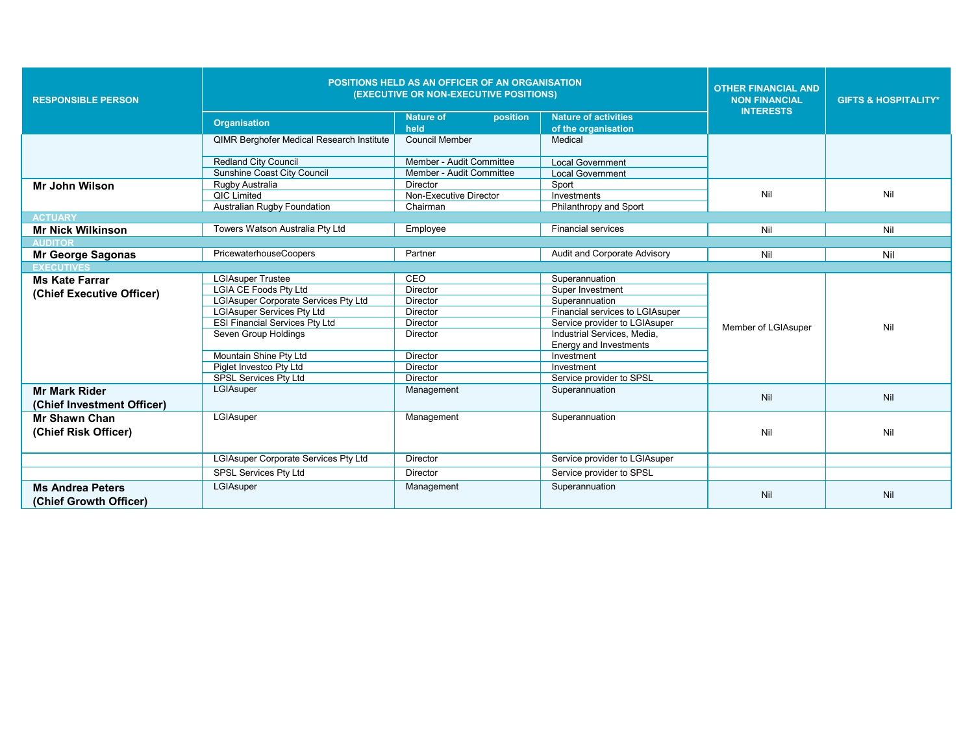| <b>RESPONSIBLE PERSON</b>  | <b>POSITIONS HELD AS AN OFFICER OF AN ORGANISATION</b><br>(EXECUTIVE OR NON-EXECUTIVE POSITIONS) |                                      |                                 | <b>OTHER FINANCIAL AND</b><br><b>NON FINANCIAL</b><br><b>INTERESTS</b> | <b>GIFTS &amp; HOSPITALITY*</b> |
|----------------------------|--------------------------------------------------------------------------------------------------|--------------------------------------|---------------------------------|------------------------------------------------------------------------|---------------------------------|
|                            | <b>Organisation</b>                                                                              | position<br><b>Nature of</b><br>held | <b>Nature of activities</b>     |                                                                        |                                 |
|                            | <b>QIMR Berghofer Medical Research Institute</b>                                                 | Council Member                       | of the organisation<br>Medical  |                                                                        |                                 |
|                            |                                                                                                  |                                      |                                 |                                                                        |                                 |
|                            | <b>Redland City Council</b>                                                                      | Member - Audit Committee             | <b>Local Government</b>         |                                                                        |                                 |
|                            | <b>Sunshine Coast City Council</b>                                                               | Member - Audit Committee             | <b>Local Government</b>         |                                                                        |                                 |
| <b>Mr John Wilson</b>      | Rugby Australia                                                                                  | <b>Director</b>                      | Sport                           |                                                                        |                                 |
|                            | <b>QIC Limited</b>                                                                               | Non-Executive Director               | Investments                     | Nil                                                                    | Nil                             |
|                            | Australian Rugby Foundation                                                                      | Chairman                             | Philanthropy and Sport          |                                                                        |                                 |
| <b>ACTUARY</b>             |                                                                                                  |                                      |                                 |                                                                        |                                 |
| <b>Mr Nick Wilkinson</b>   | Towers Watson Australia Pty Ltd                                                                  | Employee                             | <b>Financial services</b>       | Nil                                                                    | Nil                             |
| <b>AUDITOR</b>             |                                                                                                  |                                      |                                 |                                                                        |                                 |
| <b>Mr George Sagonas</b>   | PricewaterhouseCoopers                                                                           | Partner                              | Audit and Corporate Advisory    | Nil                                                                    | Nil                             |
| <b>EXECUTIVES</b>          |                                                                                                  |                                      |                                 |                                                                        |                                 |
| <b>Ms Kate Farrar</b>      | <b>LGIAsuper Trustee</b>                                                                         | CEO                                  | Superannuation                  |                                                                        | Nil                             |
| (Chief Executive Officer)  | <b>LGIA CE Foods Ptv Ltd</b>                                                                     | <b>Director</b>                      | Super Investment                | Member of LGIAsuper                                                    |                                 |
|                            | <b>LGIAsuper Corporate Services Pty Ltd</b>                                                      | <b>Director</b>                      | Superannuation                  |                                                                        |                                 |
|                            | <b>LGIAsuper Services Pty Ltd</b>                                                                | <b>Director</b>                      | Financial services to LGIAsuper |                                                                        |                                 |
|                            | <b>ESI Financial Services Ptv Ltd</b>                                                            | <b>Director</b>                      | Service provider to LGIAsuper   |                                                                        |                                 |
|                            | Seven Group Holdings                                                                             | <b>Director</b>                      | Industrial Services, Media,     |                                                                        |                                 |
|                            |                                                                                                  |                                      | Energy and Investments          |                                                                        |                                 |
|                            | Mountain Shine Pty Ltd                                                                           | <b>Director</b>                      | Investment                      |                                                                        |                                 |
|                            | Piglet Investco Pty Ltd                                                                          | <b>Director</b>                      | Investment                      |                                                                        |                                 |
|                            | <b>SPSL Services Ptv Ltd</b>                                                                     | <b>Director</b>                      | Service provider to SPSL        |                                                                        |                                 |
| <b>Mr Mark Rider</b>       | LGIAsuper                                                                                        | Management                           | Superannuation                  | Nil                                                                    | Nil                             |
| (Chief Investment Officer) |                                                                                                  |                                      |                                 |                                                                        |                                 |
| <b>Mr Shawn Chan</b>       | LGIAsuper                                                                                        | Management                           | Superannuation                  |                                                                        |                                 |
| (Chief Risk Officer)       |                                                                                                  |                                      |                                 | Nil                                                                    | Nil                             |
|                            |                                                                                                  |                                      |                                 |                                                                        |                                 |
|                            | LGIAsuper Corporate Services Pty Ltd                                                             | Director                             | Service provider to LGIAsuper   |                                                                        |                                 |
|                            | <b>SPSL Services Pty Ltd</b>                                                                     | <b>Director</b>                      | Service provider to SPSL        |                                                                        |                                 |
| <b>Ms Andrea Peters</b>    | LGIAsuper                                                                                        | Management                           | Superannuation                  |                                                                        |                                 |
| (Chief Growth Officer)     |                                                                                                  |                                      |                                 | Nil                                                                    | Nil                             |